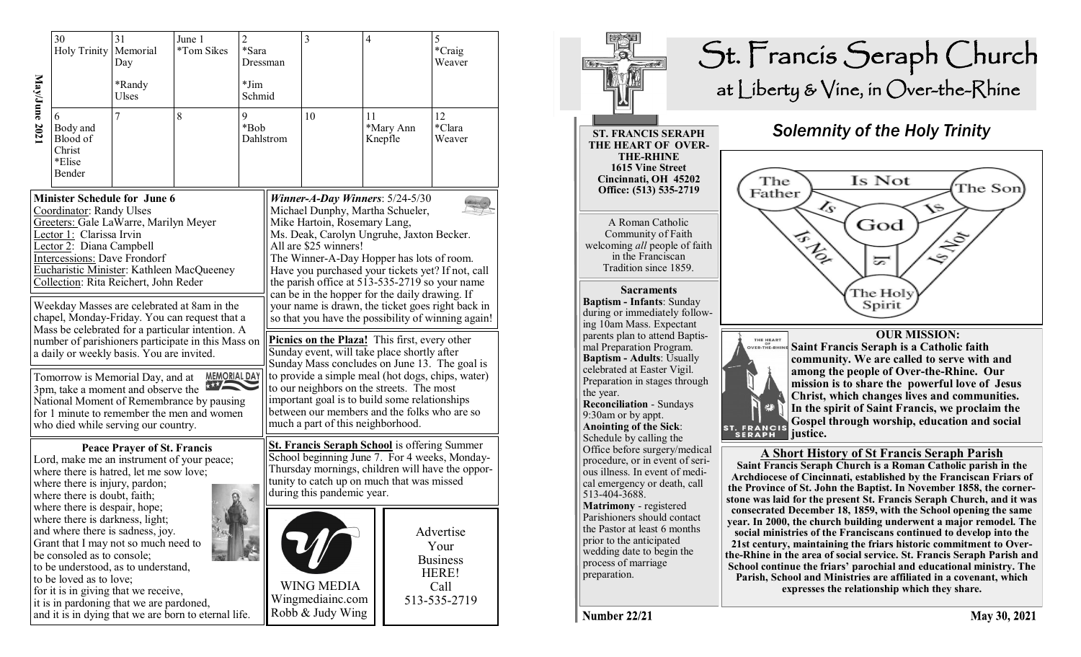|                                                                                                                                                                                                                                                                                                                                                                                               | 30<br>Holy Trinity                                                                                                                                                                                                                                                                                                                                                                       | 31<br>Memorial<br>Day | June 1<br>*Tom Sikes | $\sqrt{2}$<br>*Sara<br>Dressman                           |                                                                                                                                                                                                                                                                                                                                                                                                                                                                                              | $\overline{3}$ | $\overline{\mathcal{A}}$                                              |           | 5<br>*Craig<br>Weaver  |
|-----------------------------------------------------------------------------------------------------------------------------------------------------------------------------------------------------------------------------------------------------------------------------------------------------------------------------------------------------------------------------------------------|------------------------------------------------------------------------------------------------------------------------------------------------------------------------------------------------------------------------------------------------------------------------------------------------------------------------------------------------------------------------------------------|-----------------------|----------------------|-----------------------------------------------------------|----------------------------------------------------------------------------------------------------------------------------------------------------------------------------------------------------------------------------------------------------------------------------------------------------------------------------------------------------------------------------------------------------------------------------------------------------------------------------------------------|----------------|-----------------------------------------------------------------------|-----------|------------------------|
|                                                                                                                                                                                                                                                                                                                                                                                               |                                                                                                                                                                                                                                                                                                                                                                                          | *Randy<br>Ulses       |                      | *Jim<br>Schmid                                            |                                                                                                                                                                                                                                                                                                                                                                                                                                                                                              |                |                                                                       |           |                        |
| May/June 2021                                                                                                                                                                                                                                                                                                                                                                                 | Body and<br>Blood of<br>Christ<br>*Elise<br>Bender                                                                                                                                                                                                                                                                                                                                       | 7                     | 8                    | 9<br>*Bob                                                 | Dahlstrom                                                                                                                                                                                                                                                                                                                                                                                                                                                                                    | 10             | 11<br>Knepfle                                                         | *Mary Ann | 12<br>*Clara<br>Weaver |
| <b>Minister Schedule for June 6</b><br>Coordinator: Randy Ulses<br>Greeters: Gale LaWarre, Marilyn Meyer<br>Lector 1: Clarissa Irvin<br>Lector 2: Diana Campbell<br><b>Intercessions: Dave Frondorf</b><br>Eucharistic Minister: Kathleen MacQueeney<br>Collection: Rita Reichert, John Reder<br>Weekday Masses are celebrated at 8am in the<br>chapel, Monday-Friday. You can request that a |                                                                                                                                                                                                                                                                                                                                                                                          |                       |                      |                                                           | Winner-A-Day Winners: $5/24-5/30$<br>Michael Dunphy, Martha Schueler,<br>Mike Hartoin, Rosemary Lang,<br>Ms. Deak, Carolyn Ungruhe, Jaxton Becker.<br>All are \$25 winners!<br>The Winner-A-Day Hopper has lots of room.<br>Have you purchased your tickets yet? If not, call<br>the parish office at 513-535-2719 so your name<br>can be in the hopper for the daily drawing. If<br>your name is drawn, the ticket goes right back in<br>so that you have the possibility of winning again! |                |                                                                       |           |                        |
| Mass be celebrated for a particular intention. A<br>number of parishioners participate in this Mass on<br>a daily or weekly basis. You are invited.                                                                                                                                                                                                                                           |                                                                                                                                                                                                                                                                                                                                                                                          |                       |                      |                                                           | Picnics on the Plaza! This first, every other<br>Sunday event, will take place shortly after<br>Sunday Mass concludes on June 13. The goal is<br>to provide a simple meal (hot dogs, chips, water)<br>to our neighbors on the streets. The most<br>important goal is to build some relationships<br>between our members and the folks who are so<br>much a part of this neighborhood.                                                                                                        |                |                                                                       |           |                        |
| <b>MEMORIAL DAY</b><br>Tomorrow is Memorial Day, and at<br>3pm, take a moment and observe the<br>National Moment of Remembrance by pausing<br>for 1 minute to remember the men and women<br>who died while serving our country.                                                                                                                                                               |                                                                                                                                                                                                                                                                                                                                                                                          |                       |                      |                                                           |                                                                                                                                                                                                                                                                                                                                                                                                                                                                                              |                |                                                                       |           |                        |
| <b>Peace Prayer of St. Francis</b><br>Lord, make me an instrument of your peace;<br>where there is hatred, let me sow love;<br>where there is injury, pardon;<br>where there is doubt, faith;                                                                                                                                                                                                 |                                                                                                                                                                                                                                                                                                                                                                                          |                       |                      |                                                           | <b>St. Francis Seraph School</b> is offering Summer<br>School beginning June 7. For 4 weeks, Monday-<br>Thursday mornings, children will have the oppor-<br>tunity to catch up on much that was missed<br>during this pandemic year.                                                                                                                                                                                                                                                         |                |                                                                       |           |                        |
|                                                                                                                                                                                                                                                                                                                                                                                               | where there is despair, hope;<br>where there is darkness, light;<br>and where there is sadness, joy.<br>Grant that I may not so much need to<br>be consoled as to console;<br>to be understood, as to understand,<br>to be loved as to love;<br>for it is in giving that we receive,<br>it is in pardoning that we are pardoned,<br>and it is in dying that we are born to eternal life. |                       |                      | <b>WING MEDIA</b><br>Wingmediainc.com<br>Robb & Judy Wing |                                                                                                                                                                                                                                                                                                                                                                                                                                                                                              |                | Advertise<br>Your<br><b>Business</b><br>HERE!<br>Call<br>513-535-2719 |           |                        |